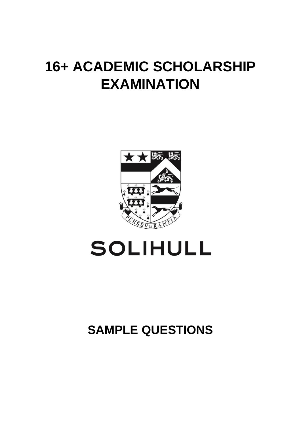## **16+ ACADEMIC SCHOLARSHIP EXAMINATION**



# **SOLIHULL**

### **SAMPLE QUESTIONS**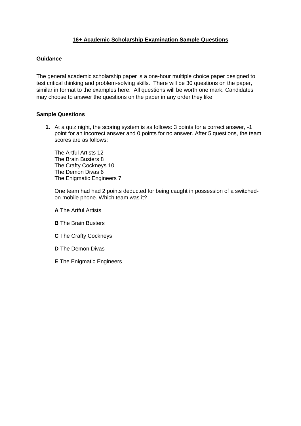#### **16+ Academic Scholarship Examination Sample Questions**

#### **Guidance**

The general academic scholarship paper is a one-hour multiple choice paper designed to test critical thinking and problem-solving skills. There will be 30 questions on the paper, similar in format to the examples here. All questions will be worth one mark. Candidates may choose to answer the questions on the paper in any order they like.

#### **Sample Questions**

**1.** At a quiz night, the scoring system is as follows: 3 points for a correct answer, -1 point for an incorrect answer and 0 points for no answer. After 5 questions, the team scores are as follows:

The Artful Artists 12 The Brain Busters 8 The Crafty Cockneys 10 The Demon Divas 6 The Enigmatic Engineers 7

One team had had 2 points deducted for being caught in possession of a switchedon mobile phone. Which team was it?

**A** The Artful Artists

- **B** The Brain Busters
- **C** The Crafty Cockneys
- **D** The Demon Divas
- **E** The Enigmatic Engineers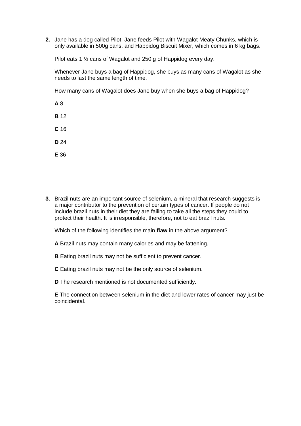**2.** Jane has a dog called Pilot. Jane feeds Pilot with Wagalot Meaty Chunks, which is only available in 500g cans, and Happidog Biscuit Mixer, which comes in 6 kg bags.

Pilot eats 1 ½ cans of Wagalot and 250 g of Happidog every day.

Whenever Jane buys a bag of Happidog, she buys as many cans of Wagalot as she needs to last the same length of time.

How many cans of Wagalot does Jane buy when she buys a bag of Happidog?

**A** 8

**B** 12

**C** 16

**D** 24

**E** 36

**3.** Brazil nuts are an important source of selenium, a mineral that research suggests is a major contributor to the prevention of certain types of cancer. If people do not include brazil nuts in their diet they are failing to take all the steps they could to protect their health. It is irresponsible, therefore, not to eat brazil nuts.

Which of the following identifies the main **flaw** in the above argument?

**A** Brazil nuts may contain many calories and may be fattening.

**B** Eating brazil nuts may not be sufficient to prevent cancer.

**C** Eating brazil nuts may not be the only source of selenium.

**D** The research mentioned is not documented sufficiently.

**E** The connection between selenium in the diet and lower rates of cancer may just be coincidental.